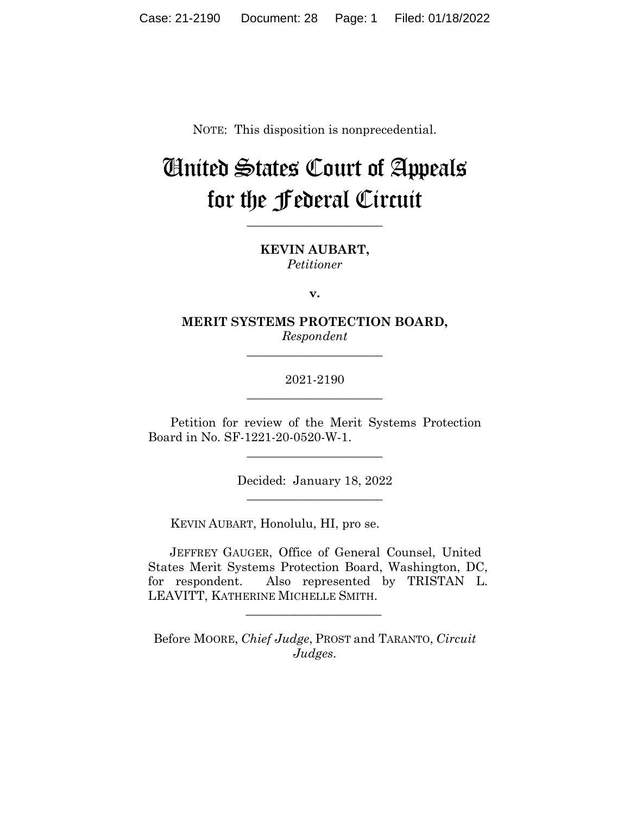NOTE: This disposition is nonprecedential.

# United States Court of Appeals for the Federal Circuit

**\_\_\_\_\_\_\_\_\_\_\_\_\_\_\_\_\_\_\_\_\_\_** 

**KEVIN AUBART,** *Petitioner*

**v.**

**MERIT SYSTEMS PROTECTION BOARD,** *Respondent*

**\_\_\_\_\_\_\_\_\_\_\_\_\_\_\_\_\_\_\_\_\_\_** 

2021-2190 **\_\_\_\_\_\_\_\_\_\_\_\_\_\_\_\_\_\_\_\_\_\_** 

Petition for review of the Merit Systems Protection Board in No. SF-1221-20-0520-W-1.

 $\overline{\phantom{a}}$  , where  $\overline{\phantom{a}}$  , where  $\overline{\phantom{a}}$  , where  $\overline{\phantom{a}}$ 

Decided: January 18, 2022  $\overline{\phantom{a}}$  , where  $\overline{\phantom{a}}$  , where  $\overline{\phantom{a}}$  , where  $\overline{\phantom{a}}$ 

KEVIN AUBART, Honolulu, HI, pro se.

JEFFREY GAUGER, Office of General Counsel, United States Merit Systems Protection Board, Washington, DC, for respondent. Also represented by TRISTAN L. LEAVITT, KATHERINE MICHELLE SMITH.

Before MOORE, *Chief Judge*, PROST and TARANTO, *Circuit Judges*.

 $\overline{\phantom{a}}$  , where the contract of the contract of the contract of the contract of the contract of the contract of the contract of the contract of the contract of the contract of the contract of the contract of the contr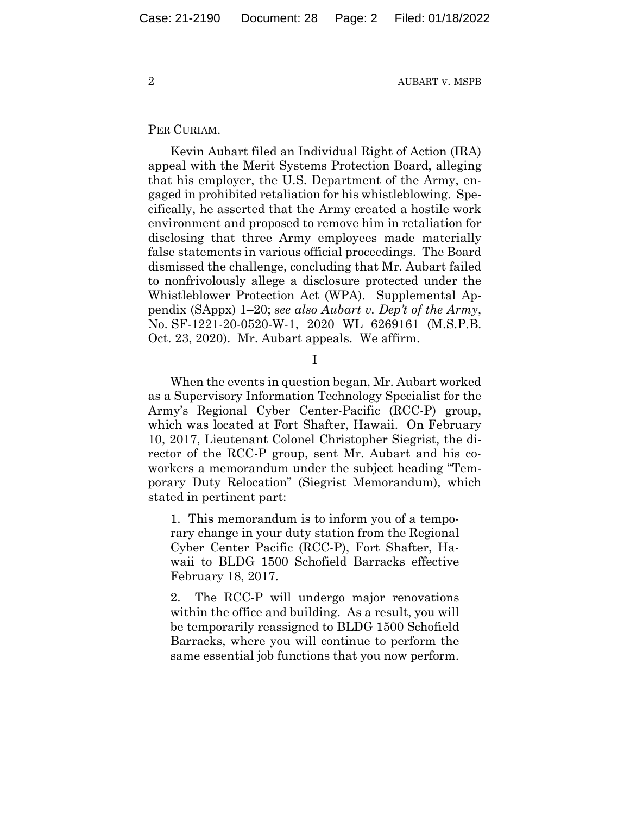### PER CURIAM.

Kevin Aubart filed an Individual Right of Action (IRA) appeal with the Merit Systems Protection Board, alleging that his employer, the U.S. Department of the Army, engaged in prohibited retaliation for his whistleblowing. Specifically, he asserted that the Army created a hostile work environment and proposed to remove him in retaliation for disclosing that three Army employees made materially false statements in various official proceedings. The Board dismissed the challenge, concluding that Mr. Aubart failed to nonfrivolously allege a disclosure protected under the Whistleblower Protection Act (WPA). Supplemental Appendix (SAppx) 1–20; *see also Aubart v. Dep't of the Army*, No. SF-1221-20-0520-W-1, 2020 WL 6269161 (M.S.P.B. Oct. 23, 2020).Mr. Aubart appeals. We affirm.

I

When the events in question began, Mr. Aubart worked as a Supervisory Information Technology Specialist for the Army's Regional Cyber Center-Pacific (RCC-P) group, which was located at Fort Shafter, Hawaii. On February 10, 2017, Lieutenant Colonel Christopher Siegrist, the director of the RCC-P group, sent Mr. Aubart and his coworkers a memorandum under the subject heading "Temporary Duty Relocation" (Siegrist Memorandum), which stated in pertinent part:

1. This memorandum is to inform you of a temporary change in your duty station from the Regional Cyber Center Pacific (RCC-P), Fort Shafter, Hawaii to BLDG 1500 Schofield Barracks effective February 18, 2017.

2. The RCC-P will undergo major renovations within the office and building. As a result, you will be temporarily reassigned to BLDG 1500 Schofield Barracks, where you will continue to perform the same essential job functions that you now perform.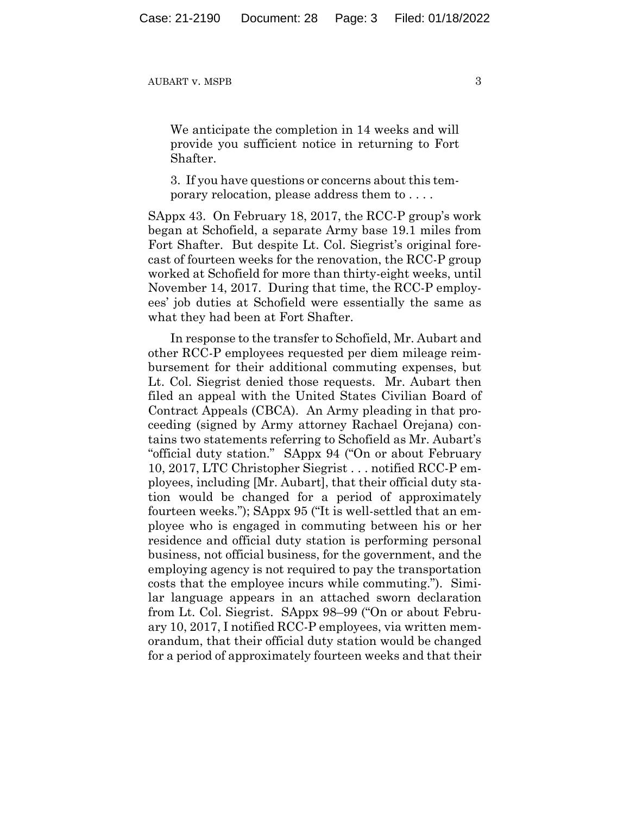We anticipate the completion in 14 weeks and will provide you sufficient notice in returning to Fort Shafter.

3. If you have questions or concerns about this temporary relocation, please address them to . . . .

SAppx 43.On February 18, 2017, the RCC-P group's work began at Schofield, a separate Army base 19.1 miles from Fort Shafter. But despite Lt. Col. Siegrist's original forecast of fourteen weeks for the renovation, the RCC-P group worked at Schofield for more than thirty-eight weeks, until November 14, 2017. During that time, the RCC-P employees' job duties at Schofield were essentially the same as what they had been at Fort Shafter.

In response to the transfer to Schofield, Mr. Aubart and other RCC-P employees requested per diem mileage reimbursement for their additional commuting expenses, but Lt. Col. Siegrist denied those requests. Mr. Aubart then filed an appeal with the United States Civilian Board of Contract Appeals (CBCA). An Army pleading in that proceeding (signed by Army attorney Rachael Orejana) contains two statements referring to Schofield as Mr. Aubart's "official duty station." SAppx 94 ("On or about February 10, 2017, LTC Christopher Siegrist . . . notified RCC-P employees, including [Mr. Aubart], that their official duty station would be changed for a period of approximately fourteen weeks."); SAppx 95 ("It is well-settled that an employee who is engaged in commuting between his or her residence and official duty station is performing personal business, not official business, for the government, and the employing agency is not required to pay the transportation costs that the employee incurs while commuting."). Similar language appears in an attached sworn declaration from Lt. Col. Siegrist. SAppx 98–99 ("On or about February 10, 2017, I notified RCC-P employees, via written memorandum, that their official duty station would be changed for a period of approximately fourteen weeks and that their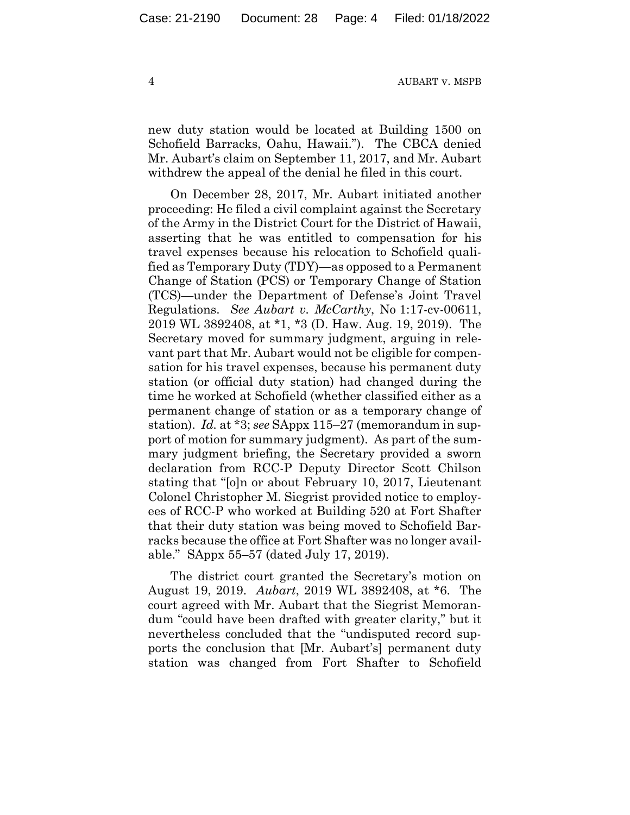new duty station would be located at Building 1500 on Schofield Barracks, Oahu, Hawaii."). The CBCA denied Mr. Aubart's claim on September 11, 2017, and Mr. Aubart withdrew the appeal of the denial he filed in this court.

On December 28, 2017, Mr. Aubart initiated another proceeding: He filed a civil complaint against the Secretary of the Army in the District Court for the District of Hawaii, asserting that he was entitled to compensation for his travel expenses because his relocation to Schofield qualified as Temporary Duty (TDY)—as opposed to a Permanent Change of Station (PCS) or Temporary Change of Station (TCS)—under the Department of Defense's Joint Travel Regulations. *See Aubart v. McCarthy*, No 1:17-cv-00611, 2019 WL 3892408, at \*1, \*3 (D. Haw. Aug. 19, 2019). The Secretary moved for summary judgment, arguing in relevant part that Mr. Aubart would not be eligible for compensation for his travel expenses, because his permanent duty station (or official duty station) had changed during the time he worked at Schofield (whether classified either as a permanent change of station or as a temporary change of station). *Id.* at \*3; *see* SAppx 115–27 (memorandum in support of motion for summary judgment). As part of the summary judgment briefing, the Secretary provided a sworn declaration from RCC-P Deputy Director Scott Chilson stating that "[o]n or about February 10, 2017, Lieutenant Colonel Christopher M. Siegrist provided notice to employees of RCC-P who worked at Building 520 at Fort Shafter that their duty station was being moved to Schofield Barracks because the office at Fort Shafter was no longer available." SAppx 55–57 (dated July 17, 2019).

The district court granted the Secretary's motion on August 19, 2019. *Aubart*, 2019 WL 3892408, at \*6. The court agreed with Mr. Aubart that the Siegrist Memorandum "could have been drafted with greater clarity," but it nevertheless concluded that the "undisputed record supports the conclusion that [Mr. Aubart's] permanent duty station was changed from Fort Shafter to Schofield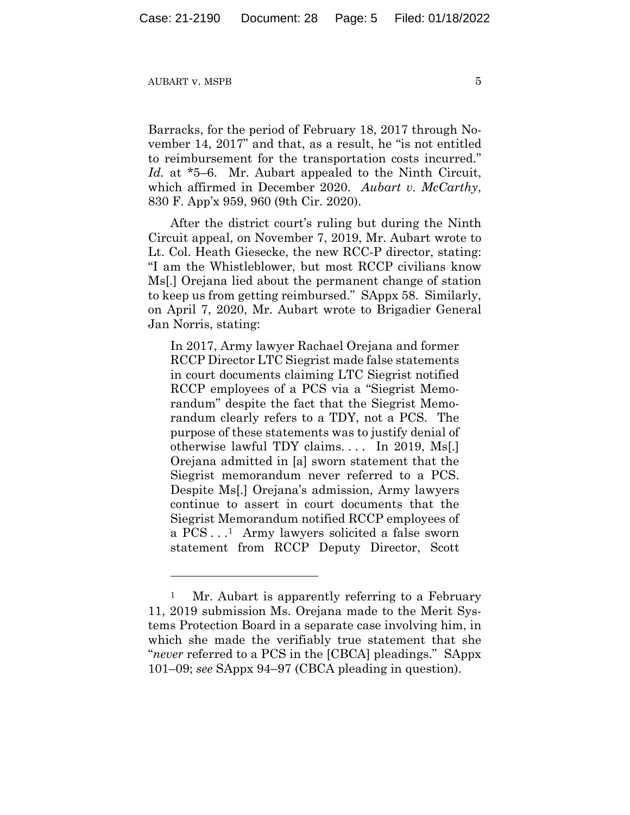Barracks, for the period of February 18, 2017 through November 14, 2017" and that, as a result, he "is not entitled to reimbursement for the transportation costs incurred." *Id.* at \*5–6.Mr. Aubart appealed to the Ninth Circuit, which affirmed in December 2020. *Aubart v. McCarthy*, 830 F. App'x 959, 960 (9th Cir. 2020).

After the district court's ruling but during the Ninth Circuit appeal, on November 7, 2019, Mr. Aubart wrote to Lt. Col. Heath Giesecke, the new RCC-P director, stating: "I am the Whistleblower, but most RCCP civilians know Ms[.] Orejana lied about the permanent change of station to keep us from getting reimbursed." SAppx 58. Similarly, on April 7, 2020, Mr. Aubart wrote to Brigadier General Jan Norris, stating:

In 2017, Army lawyer Rachael Orejana and former RCCP Director LTC Siegrist made false statements in court documents claiming LTC Siegrist notified RCCP employees of a PCS via a "Siegrist Memorandum" despite the fact that the Siegrist Memorandum clearly refers to a TDY, not a PCS. The purpose of these statements was to justify denial of otherwise lawful TDY claims. . . . In 2019, Ms[.] Orejana admitted in [a] sworn statement that the Siegrist memorandum never referred to a PCS. Despite Ms[.] Orejana's admission, Army lawyers continue to assert in court documents that the Siegrist Memorandum notified RCCP employees of a PCS . . .1 Army lawyers solicited a false sworn statement from RCCP Deputy Director, Scott

<sup>&</sup>lt;sup>1</sup> Mr. Aubart is apparently referring to a February 11, 2019 submission Ms. Orejana made to the Merit Systems Protection Board in a separate case involving him, in which she made the verifiably true statement that she "*never* referred to a PCS in the [CBCA] pleadings." SAppx 101–09; *see* SAppx 94–97 (CBCA pleading in question).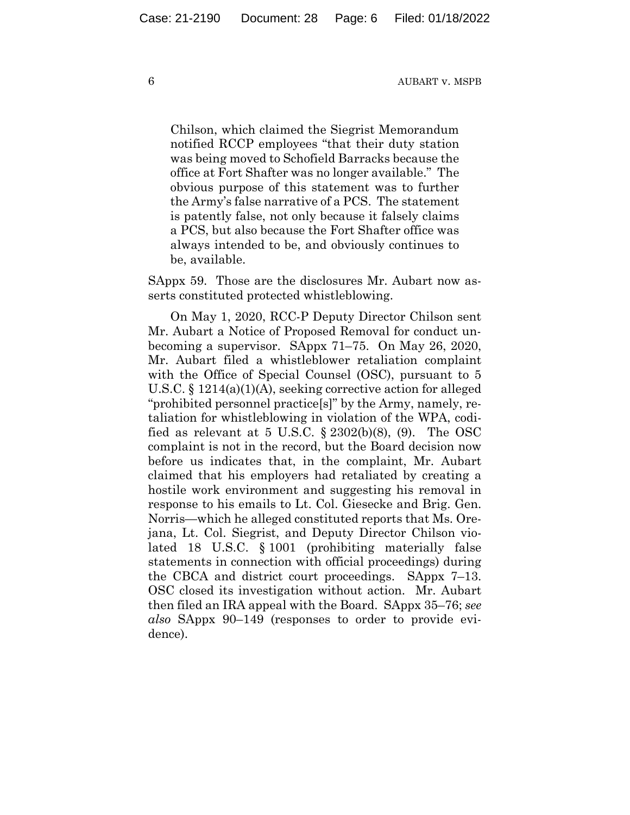Chilson, which claimed the Siegrist Memorandum notified RCCP employees "that their duty station was being moved to Schofield Barracks because the office at Fort Shafter was no longer available." The obvious purpose of this statement was to further the Army's false narrative of a PCS. The statement is patently false, not only because it falsely claims a PCS, but also because the Fort Shafter office was always intended to be, and obviously continues to be, available.

SAppx 59. Those are the disclosures Mr. Aubart now asserts constituted protected whistleblowing.

On May 1, 2020, RCC-P Deputy Director Chilson sent Mr. Aubart a Notice of Proposed Removal for conduct unbecoming a supervisor. SAppx 71–75. On May 26, 2020, Mr. Aubart filed a whistleblower retaliation complaint with the Office of Special Counsel (OSC), pursuant to 5 U.S.C. § 1214(a)(1)(A), seeking corrective action for alleged "prohibited personnel practice[s]" by the Army, namely, retaliation for whistleblowing in violation of the WPA, codified as relevant at 5 U.S.C.  $\S 2302(b)(8)$ , (9). The OSC complaint is not in the record, but the Board decision now before us indicates that, in the complaint, Mr. Aubart claimed that his employers had retaliated by creating a hostile work environment and suggesting his removal in response to his emails to Lt. Col. Giesecke and Brig. Gen. Norris—which he alleged constituted reports that Ms. Orejana, Lt. Col. Siegrist, and Deputy Director Chilson violated 18 U.S.C. § 1001 (prohibiting materially false statements in connection with official proceedings) during the CBCA and district court proceedings. SAppx 7–13. OSC closed its investigation without action. Mr. Aubart then filed an IRA appeal with the Board. SAppx 35–76; *see also* SAppx 90–149 (responses to order to provide evidence).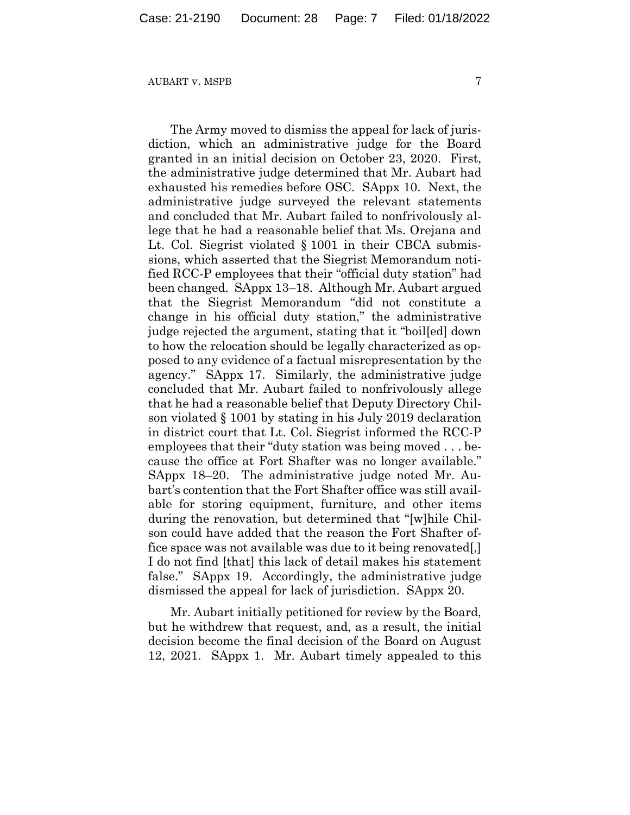The Army moved to dismiss the appeal for lack of jurisdiction, which an administrative judge for the Board granted in an initial decision on October 23, 2020. First, the administrative judge determined that Mr. Aubart had exhausted his remedies before OSC. SAppx 10. Next, the administrative judge surveyed the relevant statements and concluded that Mr. Aubart failed to nonfrivolously allege that he had a reasonable belief that Ms. Orejana and Lt. Col. Siegrist violated § 1001 in their CBCA submissions, which asserted that the Siegrist Memorandum notified RCC-P employees that their "official duty station" had been changed. SAppx 13–18. Although Mr. Aubart argued that the Siegrist Memorandum "did not constitute a change in his official duty station," the administrative judge rejected the argument, stating that it "boil[ed] down to how the relocation should be legally characterized as opposed to any evidence of a factual misrepresentation by the agency." SAppx 17. Similarly, the administrative judge concluded that Mr. Aubart failed to nonfrivolously allege that he had a reasonable belief that Deputy Directory Chilson violated § 1001 by stating in his July 2019 declaration in district court that Lt. Col. Siegrist informed the RCC-P employees that their "duty station was being moved . . . because the office at Fort Shafter was no longer available." SAppx 18–20. The administrative judge noted Mr. Aubart's contention that the Fort Shafter office was still available for storing equipment, furniture, and other items during the renovation, but determined that "[w]hile Chilson could have added that the reason the Fort Shafter office space was not available was due to it being renovated[,] I do not find [that] this lack of detail makes his statement false." SAppx 19. Accordingly, the administrative judge dismissed the appeal for lack of jurisdiction. SAppx 20.

Mr. Aubart initially petitioned for review by the Board, but he withdrew that request, and, as a result, the initial decision become the final decision of the Board on August 12, 2021. SAppx 1. Mr. Aubart timely appealed to this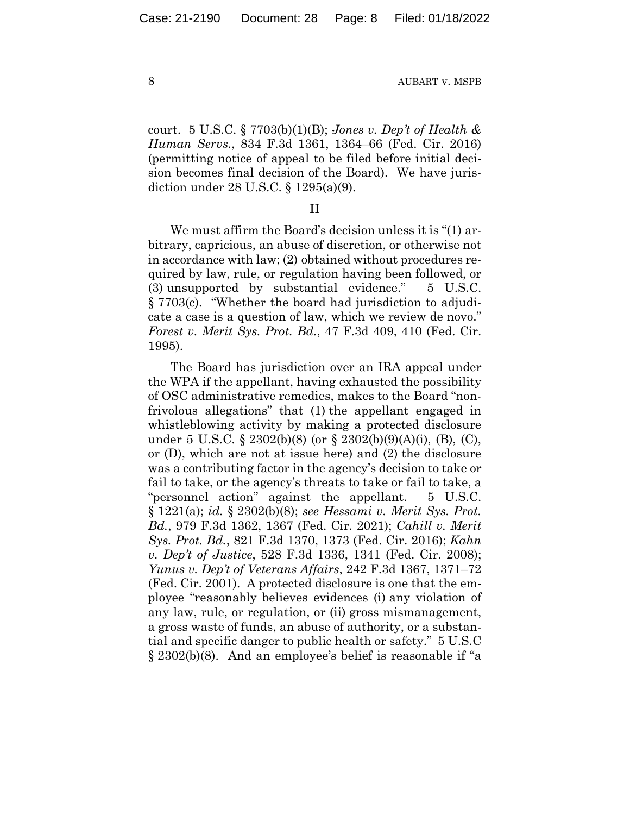court. 5 U.S.C. § 7703(b)(1)(B); *Jones v. Dep't of Health & Human Servs.*, 834 F.3d 1361, 1364–66 (Fed. Cir. 2016) (permitting notice of appeal to be filed before initial decision becomes final decision of the Board). We have jurisdiction under 28 U.S.C. § 1295(a)(9).

II

We must affirm the Board's decision unless it is "(1) arbitrary, capricious, an abuse of discretion, or otherwise not in accordance with law; (2) obtained without procedures required by law, rule, or regulation having been followed, or (3) unsupported by substantial evidence." 5 U.S.C. § 7703(c). "Whether the board had jurisdiction to adjudicate a case is a question of law, which we review de novo." *Forest v. Merit Sys. Prot. Bd.*, 47 F.3d 409, 410 (Fed. Cir. 1995).

The Board has jurisdiction over an IRA appeal under the WPA if the appellant, having exhausted the possibility of OSC administrative remedies, makes to the Board "nonfrivolous allegations" that (1) the appellant engaged in whistleblowing activity by making a protected disclosure under 5 U.S.C. § 2302(b)(8) (or § 2302(b)(9)(A)(i), (B), (C), or (D), which are not at issue here) and (2) the disclosure was a contributing factor in the agency's decision to take or fail to take, or the agency's threats to take or fail to take, a "personnel action" against the appellant. 5 U.S.C. § 1221(a); *id.* § 2302(b)(8); *see Hessami v. Merit Sys. Prot. Bd.*, 979 F.3d 1362, 1367 (Fed. Cir. 2021); *Cahill v. Merit Sys. Prot. Bd.*, 821 F.3d 1370, 1373 (Fed. Cir. 2016); *Kahn v. Dep't of Justice*, 528 F.3d 1336, 1341 (Fed. Cir. 2008); *Yunus v. Dep't of Veterans Affairs*, 242 F.3d 1367, 1371–72 (Fed. Cir. 2001). A protected disclosure is one that the employee "reasonably believes evidences (i) any violation of any law, rule, or regulation, or (ii) gross mismanagement, a gross waste of funds, an abuse of authority, or a substantial and specific danger to public health or safety." 5 U.S.C § 2302(b)(8). And an employee's belief is reasonable if "a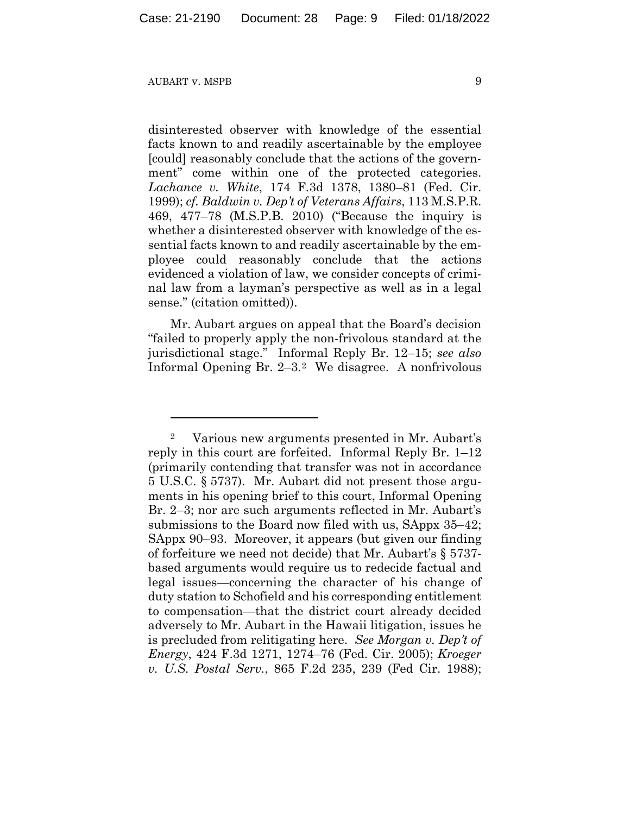disinterested observer with knowledge of the essential facts known to and readily ascertainable by the employee [could] reasonably conclude that the actions of the government" come within one of the protected categories. *Lachance v. White*, 174 F.3d 1378, 1380–81 (Fed. Cir. 1999); *cf. Baldwin v. Dep't of Veterans Affairs*, 113 M.S.P.R. 469, 477–78 (M.S.P.B. 2010) ("Because the inquiry is whether a disinterested observer with knowledge of the essential facts known to and readily ascertainable by the employee could reasonably conclude that the actions evidenced a violation of law, we consider concepts of criminal law from a layman's perspective as well as in a legal sense." (citation omitted)).

Mr. Aubart argues on appeal that the Board's decision "failed to properly apply the non-frivolous standard at the jurisdictional stage." Informal Reply Br. 12–15; *see also*  Informal Opening Br. 2–3.2 We disagree. A nonfrivolous

<sup>2</sup> Various new arguments presented in Mr. Aubart's reply in this court are forfeited. Informal Reply Br. 1–12 (primarily contending that transfer was not in accordance 5 U.S.C. § 5737). Mr. Aubart did not present those arguments in his opening brief to this court, Informal Opening Br. 2–3; nor are such arguments reflected in Mr. Aubart's submissions to the Board now filed with us, SAppx 35–42; SAppx 90–93. Moreover, it appears (but given our finding of forfeiture we need not decide) that Mr. Aubart's § 5737 based arguments would require us to redecide factual and legal issues—concerning the character of his change of duty station to Schofield and his corresponding entitlement to compensation—that the district court already decided adversely to Mr. Aubart in the Hawaii litigation, issues he is precluded from relitigating here. *See Morgan v. Dep't of Energy*, 424 F.3d 1271, 1274–76 (Fed. Cir. 2005); *Kroeger v. U.S. Postal Serv.*, 865 F.2d 235, 239 (Fed Cir. 1988);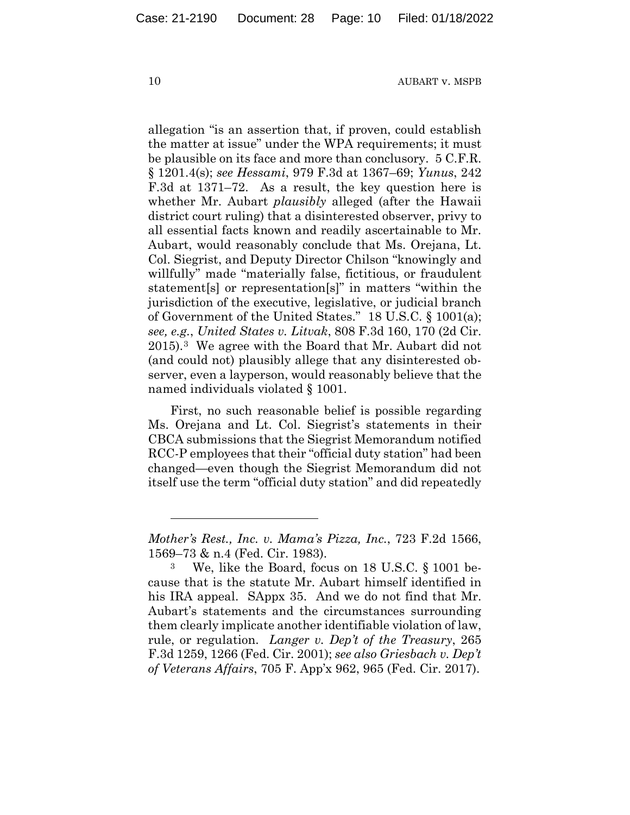allegation "is an assertion that, if proven, could establish the matter at issue" under the WPA requirements; it must be plausible on its face and more than conclusory. 5 C.F.R. § 1201.4(s); *see Hessami*, 979 F.3d at 1367–69; *Yunus*, 242 F.3d at 1371–72. As a result, the key question here is whether Mr. Aubart *plausibly* alleged (after the Hawaii district court ruling) that a disinterested observer, privy to all essential facts known and readily ascertainable to Mr. Aubart, would reasonably conclude that Ms. Orejana, Lt. Col. Siegrist, and Deputy Director Chilson "knowingly and willfully" made "materially false, fictitious, or fraudulent statement[s] or representation[s]" in matters "within the jurisdiction of the executive, legislative, or judicial branch of Government of the United States." 18 U.S.C. § 1001(a); *see, e.g.*, *United States v. Litvak*, 808 F.3d 160, 170 (2d Cir. 2015).3 We agree with the Board that Mr. Aubart did not (and could not) plausibly allege that any disinterested observer, even a layperson, would reasonably believe that the named individuals violated § 1001.

First, no such reasonable belief is possible regarding Ms. Orejana and Lt. Col. Siegrist's statements in their CBCA submissions that the Siegrist Memorandum notified RCC-P employees that their "official duty station" had been changed—even though the Siegrist Memorandum did not itself use the term "official duty station" and did repeatedly

*Mother's Rest., Inc. v. Mama's Pizza, Inc.*, 723 F.2d 1566, 1569–73 & n.4 (Fed. Cir. 1983).

<sup>3</sup> We, like the Board, focus on 18 U.S.C. § 1001 because that is the statute Mr. Aubart himself identified in his IRA appeal. SAppx 35. And we do not find that Mr. Aubart's statements and the circumstances surrounding them clearly implicate another identifiable violation of law, rule, or regulation. *Langer v. Dep't of the Treasury*, 265 F.3d 1259, 1266 (Fed. Cir. 2001); *see also Griesbach v. Dep't of Veterans Affairs*, 705 F. App'x 962, 965 (Fed. Cir. 2017).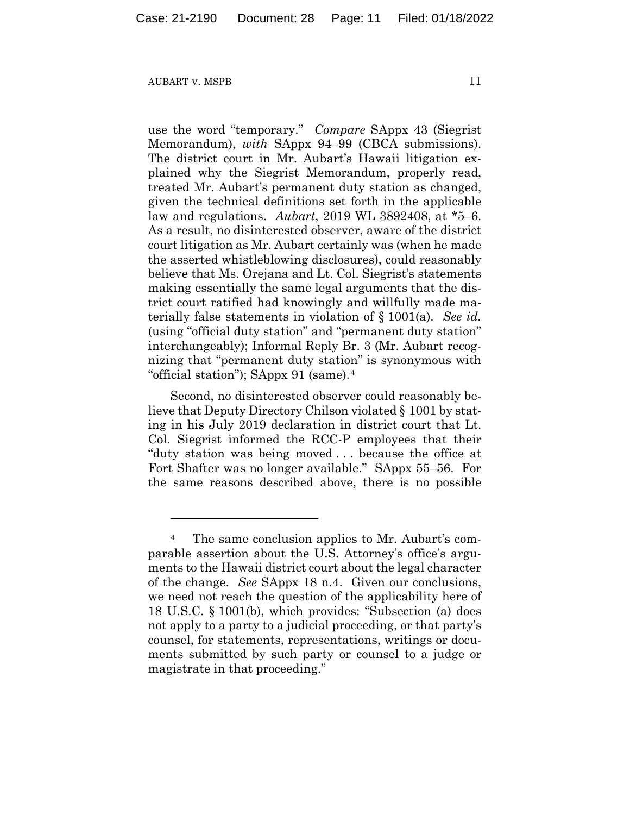use the word "temporary." *Compare* SAppx 43 (Siegrist Memorandum), *with* SAppx 94–99 (CBCA submissions). The district court in Mr. Aubart's Hawaii litigation explained why the Siegrist Memorandum, properly read, treated Mr. Aubart's permanent duty station as changed, given the technical definitions set forth in the applicable law and regulations. *Aubart*, 2019 WL 3892408, at \*5–6. As a result, no disinterested observer, aware of the district court litigation as Mr. Aubart certainly was (when he made the asserted whistleblowing disclosures), could reasonably believe that Ms. Orejana and Lt. Col. Siegrist's statements making essentially the same legal arguments that the district court ratified had knowingly and willfully made materially false statements in violation of § 1001(a). *See id.*  (using "official duty station" and "permanent duty station" interchangeably); Informal Reply Br. 3 (Mr. Aubart recognizing that "permanent duty station" is synonymous with "official station"); SAppx 91 (same).4

Second, no disinterested observer could reasonably believe that Deputy Directory Chilson violated § 1001 by stating in his July 2019 declaration in district court that Lt. Col. Siegrist informed the RCC-P employees that their "duty station was being moved . . . because the office at Fort Shafter was no longer available." SAppx 55–56. For the same reasons described above, there is no possible

<sup>4</sup> The same conclusion applies to Mr. Aubart's comparable assertion about the U.S. Attorney's office's arguments to the Hawaii district court about the legal character of the change. *See* SAppx 18 n.4. Given our conclusions, we need not reach the question of the applicability here of 18 U.S.C. § 1001(b), which provides: "Subsection (a) does not apply to a party to a judicial proceeding, or that party's counsel, for statements, representations, writings or documents submitted by such party or counsel to a judge or magistrate in that proceeding."